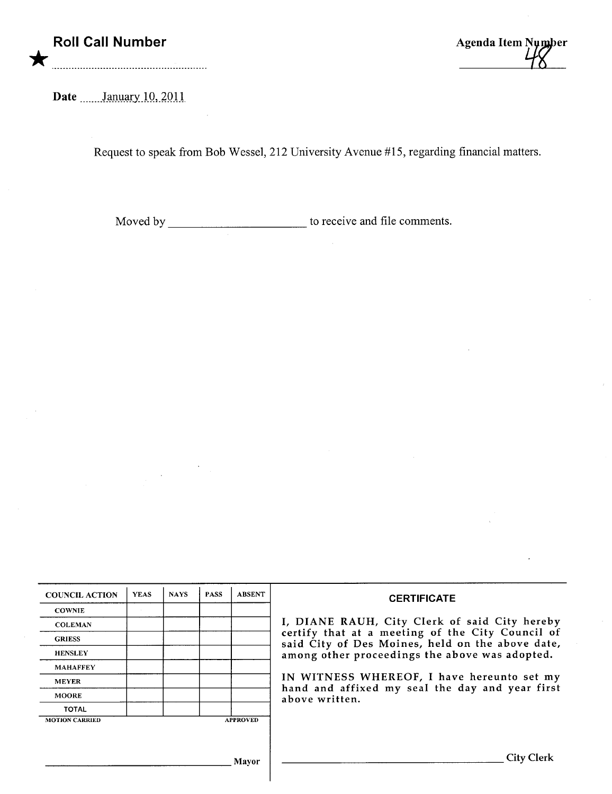## Roll Call Number \*

Agenda Item Number

Date **Lanuary** 10, 2011

Request to speak from Bob Wessel, 212 University Avenue #15, regarding financial matters.

Moved by to receive and fie comments.

| <b>COUNCIL ACTION</b> | <b>YEAS</b>     | <b>NAYS</b> | <b>PASS</b> | <b>ABSENT</b> | <b>CERTIFICATE</b>                                                                                                                                                                                                                                                                                                         |
|-----------------------|-----------------|-------------|-------------|---------------|----------------------------------------------------------------------------------------------------------------------------------------------------------------------------------------------------------------------------------------------------------------------------------------------------------------------------|
| <b>COWNIE</b>         |                 |             |             |               | I, DIANE RAUH, City Clerk of said City hereby<br>certify that at a meeting of the City Council of<br>said City of Des Moines, held on the above date,<br>among other proceedings the above was adopted.<br>IN WITNESS WHEREOF, I have hereunto set my<br>hand and affixed my seal the day and year first<br>above written. |
| <b>COLEMAN</b>        |                 |             |             |               |                                                                                                                                                                                                                                                                                                                            |
| <b>GRIESS</b>         |                 |             |             |               |                                                                                                                                                                                                                                                                                                                            |
| <b>HENSLEY</b>        |                 |             |             |               |                                                                                                                                                                                                                                                                                                                            |
| <b>MAHAFFEY</b>       |                 |             |             |               |                                                                                                                                                                                                                                                                                                                            |
| <b>MEYER</b>          |                 |             |             |               |                                                                                                                                                                                                                                                                                                                            |
| <b>MOORE</b>          |                 |             |             |               |                                                                                                                                                                                                                                                                                                                            |
| <b>TOTAL</b>          |                 |             |             |               |                                                                                                                                                                                                                                                                                                                            |
| <b>MOTION CARRIED</b> | <b>APPROVED</b> |             |             |               |                                                                                                                                                                                                                                                                                                                            |
|                       |                 |             |             |               |                                                                                                                                                                                                                                                                                                                            |
|                       |                 |             |             |               |                                                                                                                                                                                                                                                                                                                            |
|                       |                 |             |             | Mavor         | City                                                                                                                                                                                                                                                                                                                       |